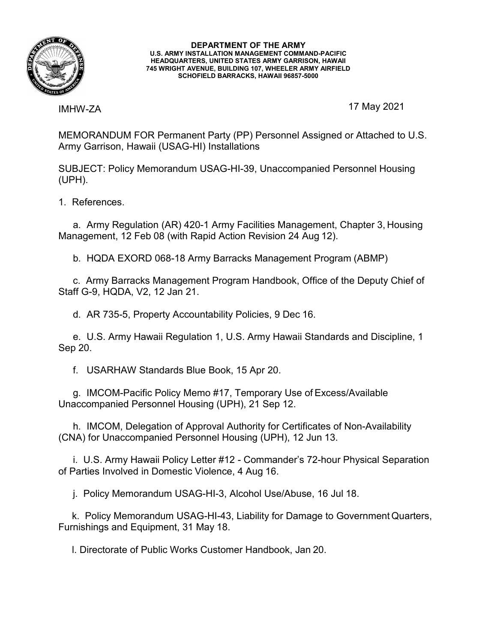

**DEPARTMENT OF THE ARMY U.S. ARMY INSTALLATION MANAGEMENT COMMAND-PACIFIC HEADQUARTERS, UNITED STATES ARMY GARRISON, HAWAII 745 WRIGHT AVENUE, BUILDING 107, WHEELER ARMY AIRFIELD SCHOFIELD BARRACKS, HAWAII 96857-5000**

IMHW-ZA

17 May 2021

MEMORANDUM FOR Permanent Party (PP) Personnel Assigned or Attached to U.S. Army Garrison, Hawaii (USAG-HI) Installations

SUBJECT: Policy Memorandum USAG-HI-39, Unaccompanied Personnel Housing (UPH).

1. References.

a. Army Regulation (AR) 420-1 Army Facilities Management, Chapter 3, Housing Management, 12 Feb 08 (with Rapid Action Revision 24 Aug 12).

b. HQDA EXORD 068-18 Army Barracks Management Program (ABMP)

c. Army Barracks Management Program Handbook, Office of the Deputy Chief of Staff G-9, HQDA, V2, 12 Jan 21.

d. AR 735-5, Property Accountability Policies, 9 Dec 16.

e. U.S. Army Hawaii Regulation 1, U.S. Army Hawaii Standards and Discipline, 1 Sep 20.

f. USARHAW Standards Blue Book, 15 Apr 20.

g. IMCOM-Pacific Policy Memo #17, Temporary Use of Excess/Available Unaccompanied Personnel Housing (UPH), 21 Sep 12.

h. IMCOM, Delegation of Approval Authority for Certificates of Non-Availability (CNA) for Unaccompanied Personnel Housing (UPH), 12 Jun 13.

i. U.S. Army Hawaii Policy Letter #12 - Commander's 72-hour Physical Separation of Parties Involved in Domestic Violence, 4 Aug 16.

j. Policy Memorandum USAG-HI-3, Alcohol Use/Abuse, 16 Jul 18.

k. Policy Memorandum USAG-HI-43, Liability for Damage to Government Quarters, Furnishings and Equipment, 31 May 18.

l. Directorate of Public Works Customer Handbook, Jan 20.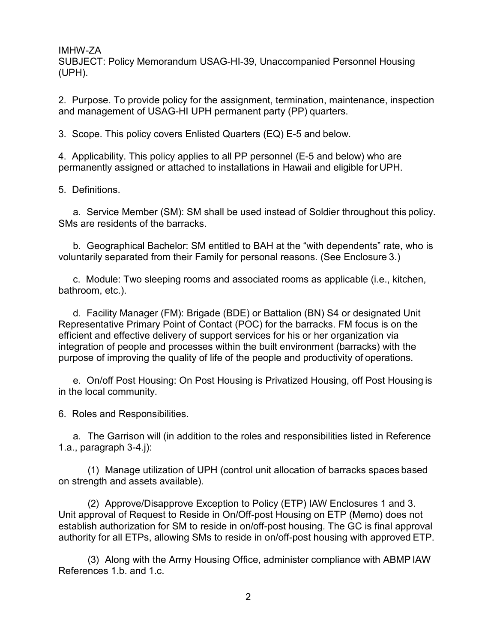SUBJECT: Policy Memorandum USAG-HI-39, Unaccompanied Personnel Housing (UPH).

2. Purpose. To provide policy for the assignment, termination, maintenance, inspection and management of USAG-HI UPH permanent party (PP) quarters.

3. Scope. This policy covers Enlisted Quarters (EQ) E-5 and below.

4. Applicability. This policy applies to all PP personnel (E-5 and below) who are permanently assigned or attached to installations in Hawaii and eligible for UPH.

5. Definitions.

a. Service Member (SM): SM shall be used instead of Soldier throughout this policy. SMs are residents of the barracks.

b. Geographical Bachelor: SM entitled to BAH at the "with dependents" rate, who is voluntarily separated from their Family for personal reasons. (See Enclosure 3.)

c. Module: Two sleeping rooms and associated rooms as applicable (i.e., kitchen, bathroom, etc.).

d. Facility Manager (FM): Brigade (BDE) or Battalion (BN) S4 or designated Unit Representative Primary Point of Contact (POC) for the barracks. FM focus is on the efficient and effective delivery of support services for his or her organization via integration of people and processes within the built environment (barracks) with the purpose of improving the quality of life of the people and productivity of operations.

e. On/off Post Housing: On Post Housing is Privatized Housing, off Post Housing is in the local community.

6. Roles and Responsibilities.

a. The Garrison will (in addition to the roles and responsibilities listed in Reference 1.a., paragraph 3-4.j):

(1) Manage utilization of UPH (control unit allocation of barracks spaces based on strength and assets available).

(2) Approve/Disapprove Exception to Policy (ETP) IAW Enclosures 1 and 3. Unit approval of Request to Reside in On/Off-post Housing on ETP (Memo) does not establish authorization for SM to reside in on/off-post housing. The GC is final approval authority for all ETPs, allowing SMs to reside in on/off-post housing with approved ETP.

(3) Along with the Army Housing Office, administer compliance with ABMP IAW References 1.b. and 1.c.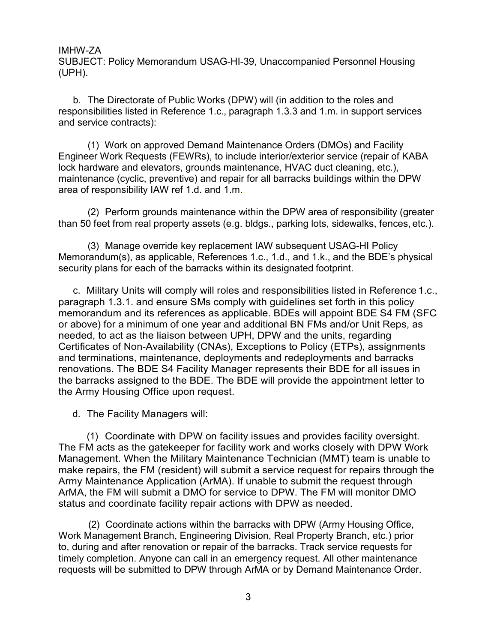SUBJECT: Policy Memorandum USAG-HI-39, Unaccompanied Personnel Housing (UPH).

b. The Directorate of Public Works (DPW) will (in addition to the roles and responsibilities listed in Reference 1.c., paragraph 1.3.3 and 1.m. in support services and service contracts):

(1) Work on approved Demand Maintenance Orders (DMOs) and Facility Engineer Work Requests (FEWRs), to include interior/exterior service (repair of KABA lock hardware and elevators, grounds maintenance, HVAC duct cleaning, etc.), maintenance (cyclic, preventive) and repair for all barracks buildings within the DPW area of responsibility IAW ref 1.d. and 1.m..

(2) Perform grounds maintenance within the DPW area of responsibility (greater than 50 feet from real property assets (e.g. bldgs., parking lots, sidewalks, fences, etc.).

(3) Manage override key replacement IAW subsequent USAG-HI Policy Memorandum(s), as applicable, References 1.c., 1.d., and 1.k., and the BDE's physical security plans for each of the barracks within its designated footprint.

c. Military Units will comply will roles and responsibilities listed in Reference 1.c., paragraph 1.3.1. and ensure SMs comply with guidelines set forth in this policy memorandum and its references as applicable. BDEs will appoint BDE S4 FM (SFC or above) for a minimum of one year and additional BN FMs and/or Unit Reps, as needed, to act as the liaison between UPH, DPW and the units, regarding Certificates of Non-Availability (CNAs), Exceptions to Policy (ETPs), assignments and terminations, maintenance, deployments and redeployments and barracks renovations. The BDE S4 Facility Manager represents their BDE for all issues in the barracks assigned to the BDE. The BDE will provide the appointment letter to the Army Housing Office upon request.

d. The Facility Managers will:

(1) Coordinate with DPW on facility issues and provides facility oversight. The FM acts as the gatekeeper for facility work and works closely with DPW Work Management. When the Military Maintenance Technician (MMT) team is unable to make repairs, the FM (resident) will submit a service request for repairs through the Army Maintenance Application (ArMA). If unable to submit the request through ArMA, the FM will submit a DMO for service to DPW. The FM will monitor DMO status and coordinate facility repair actions with DPW as needed.

(2) Coordinate actions within the barracks with DPW (Army Housing Office, Work Management Branch, Engineering Division, Real Property Branch, etc.) prior to, during and after renovation or repair of the barracks. Track service requests for timely completion. Anyone can call in an emergency request. All other maintenance requests will be submitted to DPW through ArMA or by Demand Maintenance Order.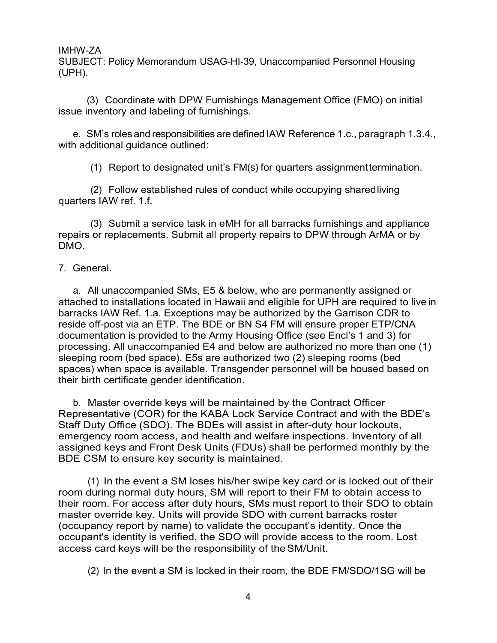SUBJECT: Policy Memorandum USAG-HI-39, Unaccompanied Personnel Housing (UPH).

(3) Coordinate with DPW Furnishings Management Office (FMO) on initial issue inventory and labeling of furnishings.

e. SM's roles and responsibilities are defined IAW Reference 1.c., paragraph 1.3.4., with additional guidance outlined:

(1) Report to designated unit's FM(s) for quarters assignmenttermination.

(2) Follow established rules of conduct while occupying sharedliving quarters IAW ref. 1.f.

(3) Submit a service task in eMH for all barracks furnishings and appliance repairs or replacements. Submit all property repairs to DPW through ArMA or by DMO.

### 7. General.

a. All unaccompanied SMs, E5 & below, who are permanently assigned or attached to installations located in Hawaii and eligible for UPH are required to live in barracks IAW Ref. 1.a. Exceptions may be authorized by the Garrison CDR to reside off-post via an ETP. The BDE or BN S4 FM will ensure proper ETP/CNA documentation is provided to the Army Housing Office (see Encl's 1 and 3) for processing. All unaccompanied E4 and below are authorized no more than one (1) sleeping room (bed space). E5s are authorized two (2) sleeping rooms (bed spaces) when space is available. Transgender personnel will be housed based on their birth certificate gender identification.

b. Master override keys will be maintained by the Contract Officer Representative (COR) for the KABA Lock Service Contract and with the BDE's Staff Duty Office (SDO). The BDEs will assist in after-duty hour lockouts, emergency room access, and health and welfare inspections. Inventory of all assigned keys and Front Desk Units (FDUs) shall be performed monthly by the BDE CSM to ensure key security is maintained.

(1) In the event a SM loses his/her swipe key card or is locked out of their room during normal duty hours, SM will report to their FM to obtain access to their room. For access after duty hours, SMs must report to their SDO to obtain master override key. Units will provide SDO with current barracks roster (occupancy report by name) to validate the occupant's identity. Once the occupant's identity is verified, the SDO will provide access to the room. Lost access card keys will be the responsibility of theSM/Unit.

(2) In the event a SM is locked in their room, the BDE FM/SDO/1SG will be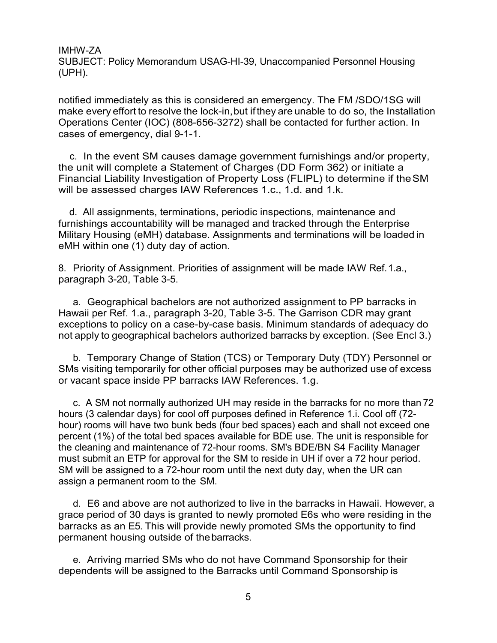SUBJECT: Policy Memorandum USAG-HI-39, Unaccompanied Personnel Housing (UPH).

notified immediately as this is considered an emergency. The FM /SDO/1SG will make every effort to resolve the lock-in,but ifthey are unable to do so, the Installation Operations Center (IOC) (808-656-3272) shall be contacted for further action. In cases of emergency, dial 9-1-1.

c. In the event SM causes damage government furnishings and/or property, the unit will complete a Statement of Charges (DD Form 362) or initiate a Financial Liability Investigation of Property Loss (FLIPL) to determine if theSM will be assessed charges IAW References 1.c., 1.d. and 1.k.

d. All assignments, terminations, periodic inspections, maintenance and furnishings accountability will be managed and tracked through the Enterprise Military Housing (eMH) database. Assignments and terminations will be loaded in eMH within one (1) duty day of action.

8. Priority of Assignment. Priorities of assignment will be made IAW Ref.1.a., paragraph 3-20, Table 3-5.

a. Geographical bachelors are not authorized assignment to PP barracks in Hawaii per Ref. 1.a., paragraph 3-20, Table 3-5. The Garrison CDR may grant exceptions to policy on a case-by-case basis. Minimum standards of adequacy do not apply to geographical bachelors authorized barracks by exception. (See Encl 3.)

b. Temporary Change of Station (TCS) or Temporary Duty (TDY) Personnel or SMs visiting temporarily for other official purposes may be authorized use of excess or vacant space inside PP barracks IAW References. 1.g.

c. A SM not normally authorized UH may reside in the barracks for no more than 72 hours (3 calendar days) for cool off purposes defined in Reference 1.i. Cool off (72 hour) rooms will have two bunk beds (four bed spaces) each and shall not exceed one percent (1%) of the total bed spaces available for BDE use. The unit is responsible for the cleaning and maintenance of 72-hour rooms. SM's BDE/BN S4 Facility Manager must submit an ETP for approval for the SM to reside in UH if over a 72 hour period. SM will be assigned to a 72-hour room until the next duty day, when the UR can assign a permanent room to the SM.

d. E6 and above are not authorized to live in the barracks in Hawaii. However, a grace period of 30 days is granted to newly promoted E6s who were residing in the barracks as an E5. This will provide newly promoted SMs the opportunity to find permanent housing outside of thebarracks.

e. Arriving married SMs who do not have Command Sponsorship for their dependents will be assigned to the Barracks until Command Sponsorship is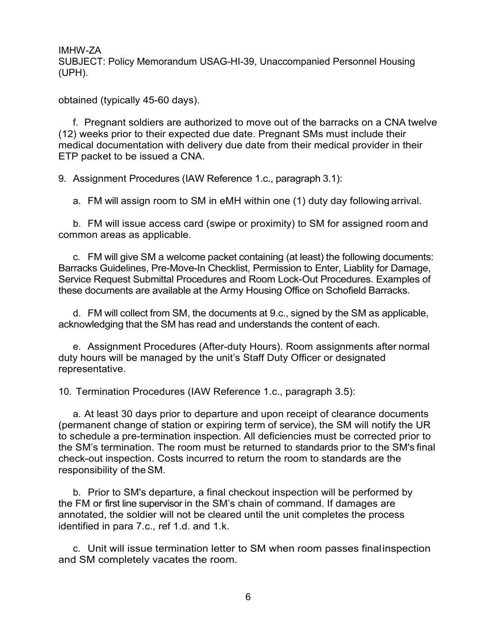obtained (typically 45-60 days).

f. Pregnant soldiers are authorized to move out of the barracks on a CNA twelve (12) weeks prior to their expected due date. Pregnant SMs must include their medical documentation with delivery due date from their medical provider in their ETP packet to be issued a CNA.

9. Assignment Procedures (IAW Reference 1.c., paragraph 3.1):

a. FM will assign room to SM in eMH within one (1) duty day following arrival.

b. FM will issue access card (swipe or proximity) to SM for assigned room and common areas as applicable.

c. FM will give SM a welcome packet containing (at least) the following documents: Barracks Guidelines, Pre-Move-In Checklist, Permission to Enter, Liablity for Damage, Service Request Submittal Procedures and Room Lock-Out Procedures. Examples of these documents are available at the Army Housing Office on Schofield Barracks.

d. FM will collect from SM, the documents at 9.c., signed by the SM as applicable, acknowledging that the SM has read and understands the content of each.

e. Assignment Procedures (After-duty Hours). Room assignments after normal duty hours will be managed by the unit's Staff Duty Officer or designated representative.

10. Termination Procedures (IAW Reference 1.c., paragraph 3.5):

a. At least 30 days prior to departure and upon receipt of clearance documents (permanent change of station or expiring term of service), the SM will notify the UR to schedule a pre-termination inspection. All deficiencies must be corrected prior to the SM's termination. The room must be returned to standards prior to the SM's final check-out inspection. Costs incurred to return the room to standards are the responsibility of theSM.

b. Prior to SM's departure, a final checkout inspection will be performed by the FM or first line supervisor in the SM's chain of command. If damages are annotated, the soldier will not be cleared until the unit completes the process identified in para 7.c., ref 1.d. and 1.k.

c. Unit will issue termination letter to SM when room passes finalinspection and SM completely vacates the room.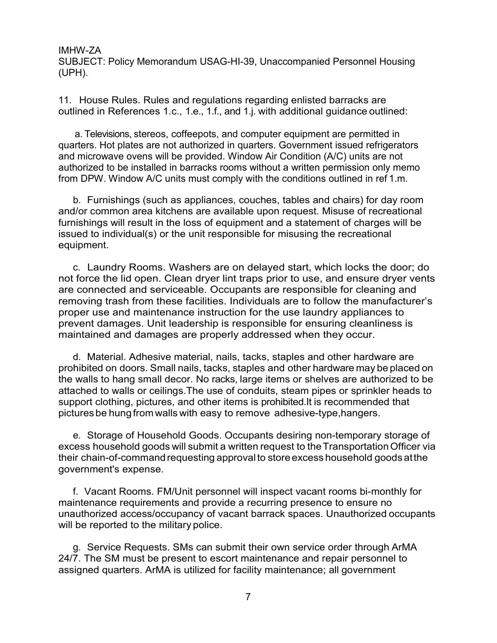SUBJECT: Policy Memorandum USAG-HI-39, Unaccompanied Personnel Housing (UPH).

11. House Rules. Rules and regulations regarding enlisted barracks are outlined in References 1.c., 1.e., 1.f., and 1.j. with additional guidance outlined:

a. Televisions, stereos, coffeepots, and computer equipment are permitted in quarters. Hot plates are not authorized in quarters. Government issued refrigerators and microwave ovens will be provided. Window Air Condition (A/C) units are not authorized to be installed in barracks rooms without a written permission only memo from DPW. Window A/C units must comply with the conditions outlined in ref 1.m.

b. Furnishings (such as appliances, couches, tables and chairs) for day room and/or common area kitchens are available upon request. Misuse of recreational furnishings will result in the loss of equipment and a statement of charges will be issued to individual(s) or the unit responsible for misusing the recreational equipment.

c. Laundry Rooms. Washers are on delayed start, which locks the door; do not force the lid open. Clean dryer lint traps prior to use, and ensure dryer vents are connected and serviceable. Occupants are responsible for cleaning and removing trash from these facilities. Individuals are to follow the manufacturer's proper use and maintenance instruction for the use laundry appliances to prevent damages. Unit leadership is responsible for ensuring cleanliness is maintained and damages are properly addressed when they occur.

d. Material. Adhesive material, nails, tacks, staples and other hardware are prohibited on doors. Small nails, tacks, staples and other hardware may be placed on the walls to hang small decor. No racks, large items or shelves are authorized to be attached to walls or ceilings.The use of conduits, steam pipes or sprinkler heads to support clothing, pictures, and other items is prohibited.It is recommended that picturesbe hung from walls with easy to remove adhesive-type,hangers.

e. Storage of Household Goods. Occupants desiring non-temporary storage of excess household goods will submit a written request to the Transportation Officer via their chain-of-commandrequesting approvalto storeexcess household goods atthe government's expense.

f. Vacant Rooms. FM/Unit personnel will inspect vacant rooms bi-monthly for maintenance requirements and provide a recurring presence to ensure no unauthorized access/occupancy of vacant barrack spaces. Unauthorized occupants will be reported to the military police.

g. Service Requests. SMs can submit their own service order through ArMA 24/7. The SM must be present to escort maintenance and repair personnel to assigned quarters. ArMA is utilized for facility maintenance; all government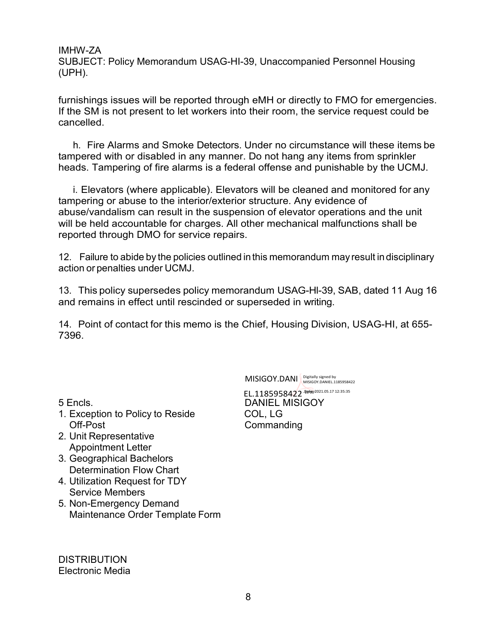SUBJECT: Policy Memorandum USAG-HI-39, Unaccompanied Personnel Housing (UPH).

furnishings issues will be reported through eMH or directly to FMO for emergencies. If the SM is not present to let workers into their room, the service request could be cancelled.

h. Fire Alarms and Smoke Detectors. Under no circumstance will these items be tampered with or disabled in any manner. Do not hang any items from sprinkler heads. Tampering of fire alarms is a federal offense and punishable by the UCMJ.

i. Elevators (where applicable). Elevators will be cleaned and monitored for any tampering or abuse to the interior/exterior structure. Any evidence of abuse/vandalism can result in the suspension of elevator operations and the unit will be held accountable for charges. All other mechanical malfunctions shall be reported through DMO for service repairs.

12. Failure to abide by the policies outlined inthis memorandum may result in disciplinary action or penalties under UCMJ.

13. This policy supersedes policy memorandum USAG-Hl-39, SAB, dated 11 Aug 16 and remains in effect until rescinded or superseded in writing.

14. Point of contact for this memo is the Chief, Housing Division, USAG-HI, at 655- 7396.

MISIGOY.DANI MISIGOY.DANIEL.1185958422

- 1. Exception to Policy to Reside COL, LG Off-Post Commanding
- 2. Unit Representative Appointment Letter
- 3. Geographical Bachelors Determination Flow Chart
- 4. Utilization Request for TDY Service Members
- 5. Non-Emergency Demand Maintenance Order Template Form

**DISTRIBUTION** Electronic Media

EL.1185958422 - Retup 2021.05.17 12:35:35 5 Encls. DANIEL MISIGOY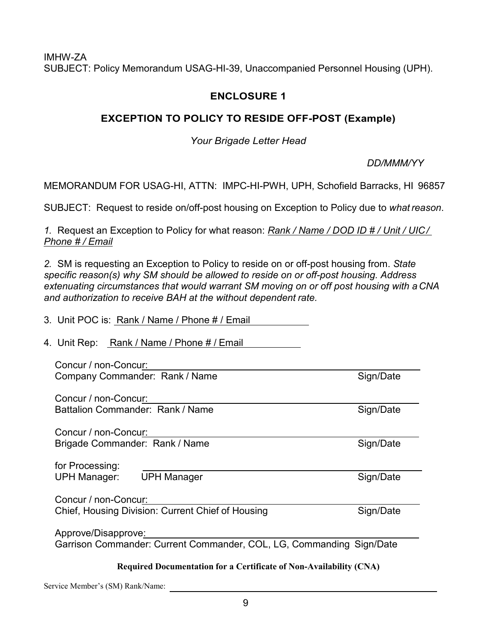## **ENCLOSURE 1**

# **EXCEPTION TO POLICY TO RESIDE OFF-POST (Example)**

*Your Brigade Letter Head*

*DD/MMM/YY*

MEMORANDUM FOR USAG-HI, ATTN: IMPC-HI-PWH, UPH, Schofield Barracks, HI 96857

SUBJECT: Request to reside on/off-post housing on Exception to Policy due to *what reason*.

*1.* Request an Exception to Policy for what reason: *Rank / Name / DOD ID # / Unit / UIC/ Phone # / Email*

*2.* SM is requesting an Exception to Policy to reside on or off-post housing from. *State specific reason(s) why SM should be allowed to reside on or off-post housing. Address extenuating circumstances that would warrant SM moving on or off post housing with a CNA and authorization to receive BAH at the without dependent rate.*

| 3. Unit POC is: <u>Rank / Name / Phone # / Email</u>                                                                           |           |  |
|--------------------------------------------------------------------------------------------------------------------------------|-----------|--|
| 4. Unit Rep: Rank / Name / Phone # / Email                                                                                     |           |  |
| Concur / non-Concur:<br>Company Commander: Rank / Name                                                                         | Sign/Date |  |
| Concur / non-Concur:<br>Battalion Commander: Rank / Name                                                                       | Sign/Date |  |
| Concur / non-Concur:<br>Brigade Commander: Rank / Name                                                                         | Sign/Date |  |
| for Processing:                                                                                                                |           |  |
| <b>UPH Manager:</b><br><b>UPH Manager</b><br>Concur / non-Concur:                                                              | Sign/Date |  |
| Chief, Housing Division: Current Chief of Housing                                                                              | Sign/Date |  |
| Approve/Disapprove:<br>Garrison Commander: Current Commander, COL, LG, Commanding Sign/Date                                    |           |  |
| $\mathbf{r}$ , and $\mathbf{r}$ , and $\mathbf{r}$ , and $\mathbf{r}$ , and $\mathbf{r}$ , and $\mathbf{r}$ , and $\mathbf{r}$ |           |  |

**Required Documentation for a Certificate of Non-Availability (CNA)**

Service Member's (SM) Rank/Name: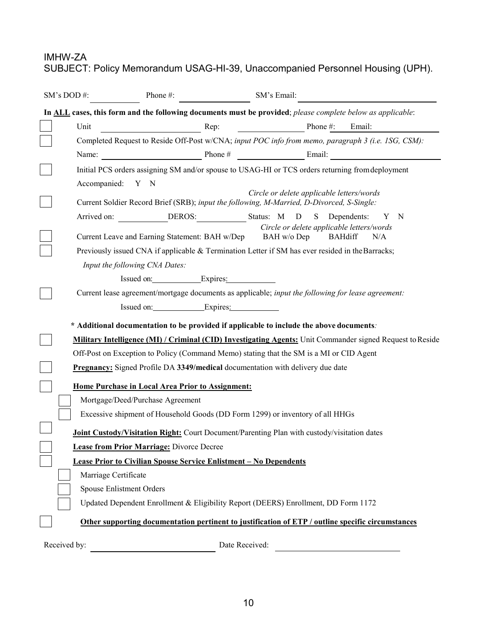SUBJECT: Policy Memorandum USAG-HI-39, Unaccompanied Personnel Housing (UPH).

| SM's DOD#:                                                                                                 |                                                                                                  | Phone #:                                                                                                  | SM's Email:                                                 |        |  |
|------------------------------------------------------------------------------------------------------------|--------------------------------------------------------------------------------------------------|-----------------------------------------------------------------------------------------------------------|-------------------------------------------------------------|--------|--|
| In ALL cases, this form and the following documents must be provided; please complete below as applicable: |                                                                                                  |                                                                                                           |                                                             |        |  |
|                                                                                                            | Unit                                                                                             | Rep:                                                                                                      | $\frac{1}{2}$ Phone #:                                      | Email: |  |
|                                                                                                            |                                                                                                  | Completed Request to Reside Off-Post w/CNA; input POC info from memo, paragraph 3 (i.e. ISG, CSM):        |                                                             |        |  |
|                                                                                                            |                                                                                                  |                                                                                                           |                                                             |        |  |
|                                                                                                            |                                                                                                  | Initial PCS orders assigning SM and/or spouse to USAG-HI or TCS orders returning from deployment          |                                                             |        |  |
|                                                                                                            | Accompanied:                                                                                     | Y N                                                                                                       |                                                             |        |  |
|                                                                                                            |                                                                                                  | Current Soldier Record Brief (SRB); input the following, M-Married, D-Divorced, S-Single:                 | Circle or delete applicable letters/words                   |        |  |
|                                                                                                            | Arrived on:                                                                                      |                                                                                                           | DEROS: Status: M D S Dependents:                            | Y N    |  |
|                                                                                                            |                                                                                                  | Current Leave and Earning Statement: BAH w/Dep BAH w/o Dep                                                | Circle or delete applicable letters/words<br><b>BAHdiff</b> | N/A    |  |
|                                                                                                            | Previously issued CNA if applicable & Termination Letter if SM has ever resided in the Barracks; |                                                                                                           |                                                             |        |  |
|                                                                                                            | Input the following CNA Dates:                                                                   |                                                                                                           |                                                             |        |  |
|                                                                                                            |                                                                                                  | Issued on: Expires:                                                                                       |                                                             |        |  |
|                                                                                                            |                                                                                                  | Current lease agreement/mortgage documents as applicable; input the following for lease agreement:        |                                                             |        |  |
|                                                                                                            |                                                                                                  | Issued on: Expires:                                                                                       |                                                             |        |  |
|                                                                                                            |                                                                                                  | * Additional documentation to be provided if applicable to include the above documents:                   |                                                             |        |  |
|                                                                                                            |                                                                                                  | Military Intelligence (MI) / Criminal (CID) Investigating Agents: Unit Commander signed Request to Reside |                                                             |        |  |
|                                                                                                            |                                                                                                  | Off-Post on Exception to Policy (Command Memo) stating that the SM is a MI or CID Agent                   |                                                             |        |  |
|                                                                                                            |                                                                                                  | Pregnancy: Signed Profile DA 3349/medical documentation with delivery due date                            |                                                             |        |  |
|                                                                                                            |                                                                                                  | Home Purchase in Local Area Prior to Assignment:                                                          |                                                             |        |  |
|                                                                                                            |                                                                                                  | Mortgage/Deed/Purchase Agreement                                                                          |                                                             |        |  |
|                                                                                                            | Excessive shipment of Household Goods (DD Form 1299) or inventory of all HHGs                    |                                                                                                           |                                                             |        |  |
|                                                                                                            | Joint Custody/Visitation Right: Court Document/Parenting Plan with custody/visitation dates      |                                                                                                           |                                                             |        |  |
|                                                                                                            | <b>Lease from Prior Marriage: Divorce Decree</b>                                                 |                                                                                                           |                                                             |        |  |
|                                                                                                            | <b>Lease Prior to Civilian Spouse Service Enlistment - No Dependents</b>                         |                                                                                                           |                                                             |        |  |
|                                                                                                            | Marriage Certificate                                                                             |                                                                                                           |                                                             |        |  |
|                                                                                                            | Spouse Enlistment Orders                                                                         |                                                                                                           |                                                             |        |  |
|                                                                                                            |                                                                                                  | Updated Dependent Enrollment & Eligibility Report (DEERS) Enrollment, DD Form 1172                        |                                                             |        |  |
|                                                                                                            |                                                                                                  | Other supporting documentation pertinent to justification of ETP / outline specific circumstances         |                                                             |        |  |
|                                                                                                            | Received by:                                                                                     | Date Received:                                                                                            |                                                             |        |  |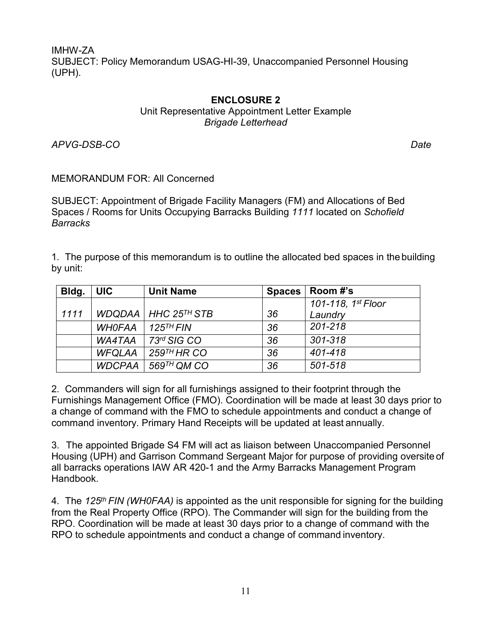#### **ENCLOSURE 2**

## Unit Representative Appointment Letter Example *Brigade Letterhead*

*APVG-DSB-CO Date*

### MEMORANDUM FOR: All Concerned

SUBJECT: Appointment of Brigade Facility Managers (FM) and Allocations of Bed Spaces / Rooms for Units Occupying Barracks Building *1111* located on *Schofield Barracks*

1. The purpose of this memorandum is to outline the allocated bed spaces in thebuilding by unit:

| Bldg. | <b>UIC</b>    | <b>Unit Name</b>      | <b>Spaces</b> | Room #'s           |
|-------|---------------|-----------------------|---------------|--------------------|
|       |               |                       |               | 101-118, 1st Floor |
| 1111  |               | WDQDAA   HHC 25TH STB | 36            | Laundry            |
|       | <b>WHOFAA</b> | 125TH FIN             | 36            | 201-218            |
|       | WA4TAA        | 73rd SIG CO           | 36            | 301-318            |
|       | <b>WFQLAA</b> | $259^{TH}$ HR CO      | 36            | 401-418            |
|       | <b>WDCPAA</b> | 569TH QM CO           | 36            | 501-518            |

2. Commanders will sign for all furnishings assigned to their footprint through the Furnishings Management Office (FMO). Coordination will be made at least 30 days prior to a change of command with the FMO to schedule appointments and conduct a change of command inventory. Primary Hand Receipts will be updated at least annually.

3. The appointed Brigade S4 FM will act as liaison between Unaccompanied Personnel Housing (UPH) and Garrison Command Sergeant Major for purpose of providing oversite of all barracks operations IAW AR 420-1 and the Army Barracks Management Program Handbook.

4. The *125th FIN (WH0FAA)* is appointed as the unit responsible for signing for the building from the Real Property Office (RPO). The Commander will sign for the building from the RPO. Coordination will be made at least 30 days prior to a change of command with the RPO to schedule appointments and conduct a change of command inventory.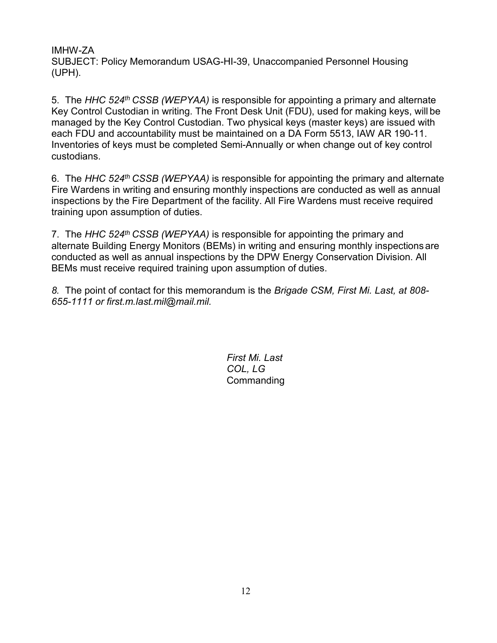5. The *HHC 524th CSSB (WEPYAA)* is responsible for appointing a primary and alternate Key Control Custodian in writing. The Front Desk Unit (FDU), used for making keys, will be managed by the Key Control Custodian. Two physical keys (master keys) are issued with each FDU and accountability must be maintained on a DA Form 5513, IAW AR 190-11. Inventories of keys must be completed Semi-Annually or when change out of key control custodians.

6. The *HHC 524th CSSB (WEPYAA)* is responsible for appointing the primary and alternate Fire Wardens in writing and ensuring monthly inspections are conducted as well as annual inspections by the Fire Department of the facility. All Fire Wardens must receive required training upon assumption of duties.

7. The *HHC 524th CSSB (WEPYAA)* is responsible for appointing the primary and alternate Building Energy Monitors (BEMs) in writing and ensuring monthly inspectionsare conducted as well as annual inspections by the DPW Energy Conservation Division. All BEMs must receive required training upon assumption of duties.

*8.* The point of contact for this memorandum is the *Brigade CSM, First Mi. Last, at 808- 655-1111 or [first.m.last.mil@mail.mil.](mailto:first.m.last.mil@mail.mil)*

> *First Mi. Last COL, LG* **Commanding**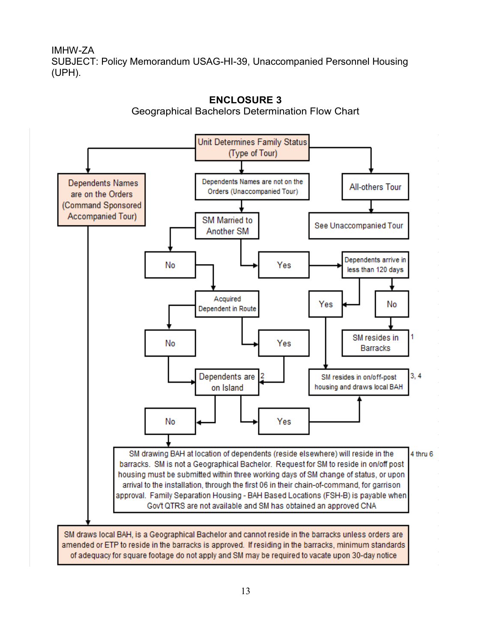SUBJECT: Policy Memorandum USAG-HI-39, Unaccompanied Personnel Housing (UPH).



**ENCLOSURE 3** Geographical Bachelors Determination Flow Chart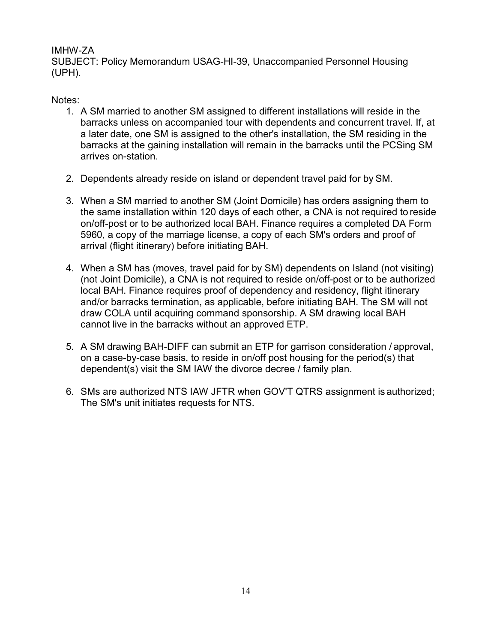SUBJECT: Policy Memorandum USAG-HI-39, Unaccompanied Personnel Housing (UPH).

## Notes:

- 1. A SM married to another SM assigned to different installations will reside in the barracks unless on accompanied tour with dependents and concurrent travel. If, at a later date, one SM is assigned to the other's installation, the SM residing in the barracks at the gaining installation will remain in the barracks until the PCSing SM arrives on-station.
- 2. Dependents already reside on island or dependent travel paid for by SM.
- 3. When a SM married to another SM (Joint Domicile) has orders assigning them to the same installation within 120 days of each other, a CNA is not required to reside on/off-post or to be authorized local BAH. Finance requires a completed DA Form 5960, a copy of the marriage license, a copy of each SM's orders and proof of arrival (flight itinerary) before initiating BAH.
- 4. When a SM has (moves, travel paid for by SM) dependents on Island (not visiting) (not Joint Domicile), a CNA is not required to reside on/off-post or to be authorized local BAH. Finance requires proof of dependency and residency, flight itinerary and/or barracks termination, as applicable, before initiating BAH. The SM will not draw COLA until acquiring command sponsorship. A SM drawing local BAH cannot live in the barracks without an approved ETP.
- 5. A SM drawing BAH-DIFF can submit an ETP for garrison consideration / approval, on a case-by-case basis, to reside in on/off post housing for the period(s) that dependent(s) visit the SM IAW the divorce decree / family plan.
- 6. SMs are authorized NTS IAW JFTR when GOV'T QTRS assignment is authorized; The SM's unit initiates requests for NTS.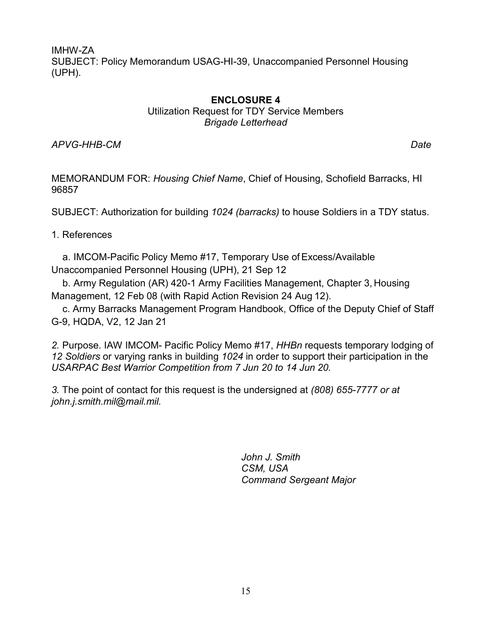#### **ENCLOSURE 4**

Utilization Request for TDY Service Members *Brigade Letterhead*

*APVG-HHB-CM Date*

MEMORANDUM FOR: *Housing Chief Name*, Chief of Housing, Schofield Barracks, HI 96857

SUBJECT: Authorization for building *1024 (barracks)* to house Soldiers in a TDY status.

1. References

a. IMCOM-Pacific Policy Memo #17, Temporary Use ofExcess/Available Unaccompanied Personnel Housing (UPH), 21 Sep 12

b. Army Regulation (AR) 420-1 Army Facilities Management, Chapter 3, Housing Management, 12 Feb 08 (with Rapid Action Revision 24 Aug 12).

c. Army Barracks Management Program Handbook, Office of the Deputy Chief of Staff G-9, HQDA, V2, 12 Jan 21

*2.* Purpose. IAW IMCOM- Pacific Policy Memo #17, *HHBn* requests temporary lodging of *12 Soldiers* or varying ranks in building *1024* in order to support their participation in the *USARPAC Best Warrior Competition from 7 Jun 20 to 14 Jun 20.*

*3.* The point of contact for this request is the undersigned at *(808) 655-7777 or at [john.j.smith.mil@mail.mil.](mailto:john.j.smith.mil@mail.mil)*

> *John J. Smith CSM, USA Command Sergeant Major*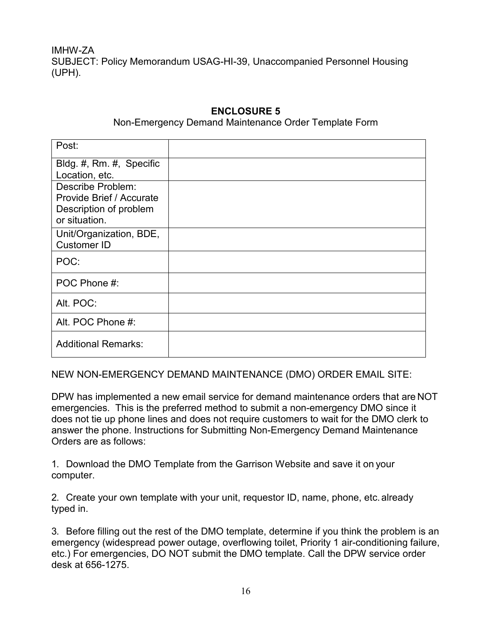## **ENCLOSURE 5**

Non-Emergency Demand Maintenance Order Template Form

| Post:                                   |  |
|-----------------------------------------|--|
| Bldg. #, Rm. #, Specific                |  |
| Location, etc.                          |  |
| Describe Problem:                       |  |
| Provide Brief / Accurate                |  |
| Description of problem<br>or situation. |  |
| Unit/Organization, BDE,                 |  |
| <b>Customer ID</b>                      |  |
| POC:                                    |  |
| POC Phone #:                            |  |
| Alt. POC:                               |  |
| Alt. POC Phone #:                       |  |
| <b>Additional Remarks:</b>              |  |

NEW NON-EMERGENCY DEMAND MAINTENANCE (DMO) ORDER EMAIL SITE:

DPW has implemented a new email service for demand maintenance orders that are NOT emergencies. This is the preferred method to submit a non-emergency DMO since it does not tie up phone lines and does not require customers to wait for the DMO clerk to answer the phone. Instructions for Submitting Non-Emergency Demand Maintenance Orders are as follows:

1. Download the DMO Template from the Garrison Website and save it on your computer.

2. Create your own template with your unit, requestor ID, name, phone, etc. already typed in.

3. Before filling out the rest of the DMO template, determine if you think the problem is an emergency (widespread power outage, overflowing toilet, Priority 1 air-conditioning failure, etc.) For emergencies, DO NOT submit the DMO template. Call the DPW service order desk at 656-1275.